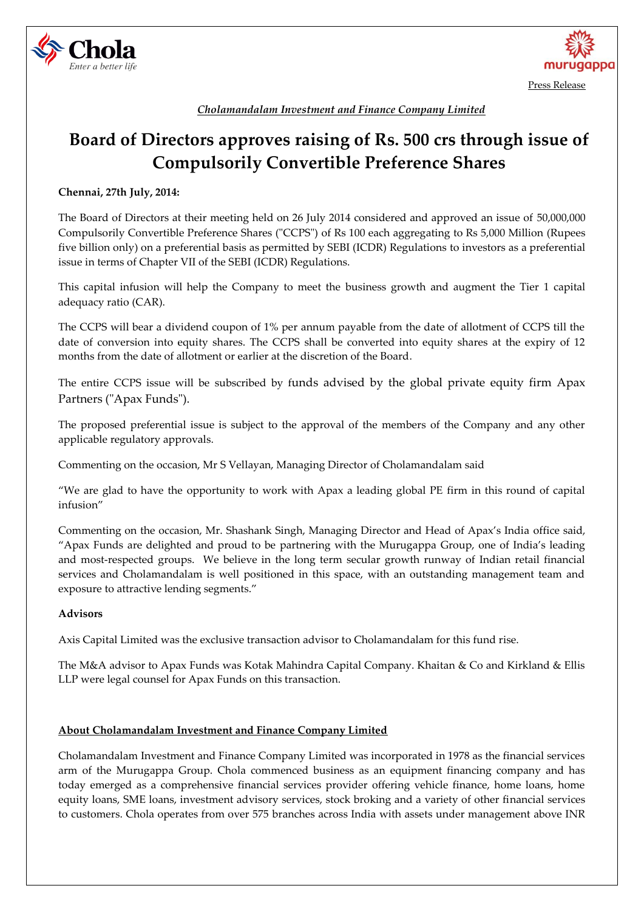



*Cholamandalam Investment and Finance Company Limited*

# **Board of Directors approves raising of Rs. 500 crs through issue of Compulsorily Convertible Preference Shares**

## **Chennai, 27th July, 2014:**

The Board of Directors at their meeting held on 26 July 2014 considered and approved an issue of 50,000,000 Compulsorily Convertible Preference Shares ("CCPS") of Rs 100 each aggregating to Rs 5,000 Million (Rupees five billion only) on a preferential basis as permitted by SEBI (ICDR) Regulations to investors as a preferential issue in terms of Chapter VII of the SEBI (ICDR) Regulations.

This capital infusion will help the Company to meet the business growth and augment the Tier 1 capital adequacy ratio (CAR).

The CCPS will bear a dividend coupon of 1% per annum payable from the date of allotment of CCPS till the date of conversion into equity shares. The CCPS shall be converted into equity shares at the expiry of 12 months from the date of allotment or earlier at the discretion of the Board.

The entire CCPS issue will be subscribed by funds advised by the global private equity firm Apax Partners ("Apax Funds").

The proposed preferential issue is subject to the approval of the members of the Company and any other applicable regulatory approvals.

Commenting on the occasion, Mr S Vellayan, Managing Director of Cholamandalam said

"We are glad to have the opportunity to work with Apax a leading global PE firm in this round of capital infusion"

Commenting on the occasion, Mr. Shashank Singh, Managing Director and Head of Apax's India office said, "Apax Funds are delighted and proud to be partnering with the Murugappa Group, one of India's leading and most-respected groups. We believe in the long term secular growth runway of Indian retail financial services and Cholamandalam is well positioned in this space, with an outstanding management team and exposure to attractive lending segments."

### **Advisors**

Axis Capital Limited was the exclusive transaction advisor to Cholamandalam for this fund rise.

The M&A advisor to Apax Funds was Kotak Mahindra Capital Company. Khaitan & Co and Kirkland & Ellis LLP were legal counsel for Apax Funds on this transaction.

### **About Cholamandalam Investment and Finance Company Limited**

Cholamandalam Investment and Finance Company Limited was incorporated in 1978 as the financial services arm of the Murugappa Group. Chola commenced business as an equipment financing company and has today emerged as a comprehensive financial services provider offering vehicle finance, home loans, home equity loans, SME loans, investment advisory services, stock broking and a variety of other financial services to customers. Chola operates from over 575 branches across India with assets under management above INR